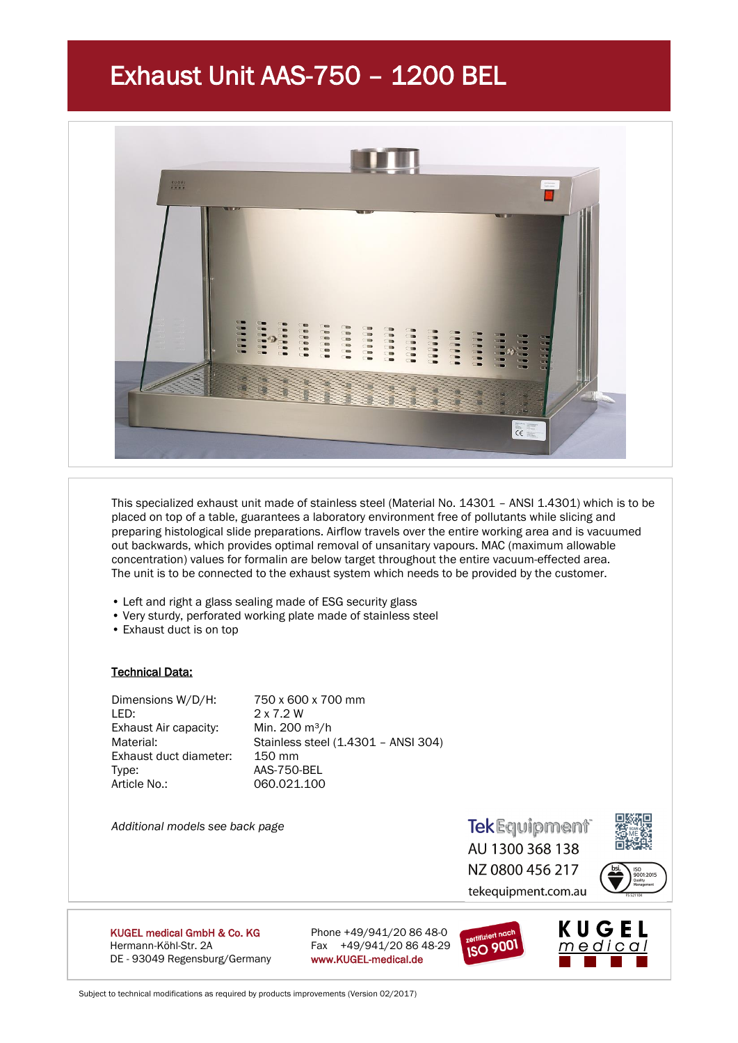# Exhaust Unit AAS-750 – 1200 BEL



This specialized exhaust unit made of stainless steel (Material No. 14301 – ANSI 1.4301) which is to be placed on top of a table, guarantees a laboratory environment free of pollutants while slicing and preparing histological slide preparations. Airflow travels over the entire working area and is vacuumed out backwards, which provides optimal removal of unsanitary vapours. MAC (maximum allowable concentration) values for formalin are below target throughout the entire vacuum-effected area. The unit is to be connected to the exhaust system which needs to be provided by the customer.

- Left and right a glass sealing made of ESG security glass
- Very sturdy, perforated working plate made of stainless steel
- Exhaust duct is on top

### Technical Data:

Dimensions W/D/H: 750 x 600 x 700 mm LED: 2 x 7.2 W Exhaust Air capacity: Min. 200 m<sup>3</sup>/h Material: Stainless steel (1.4301 – ANSI 304) Exhaust duct diameter: 150 mm Type: AAS-750-BEL Article No.: 060.021.100

*Additional models see back page*

**TekEquipment** AU 1300 368 138 NZ 0800 456 217 tekequipment.com.au



**ISO** 9001

KUGEL medical GmbH & Co. KG Phone +49/941/20 86 48-0 Hermann-Köhl-Str. 2A Fax +49/941/20 86 48-29 DE - 93049 Regensburg/Germany www.KUGEL-medical.de



Subject to technical modifications as required by products improvements (Version 02/2017)